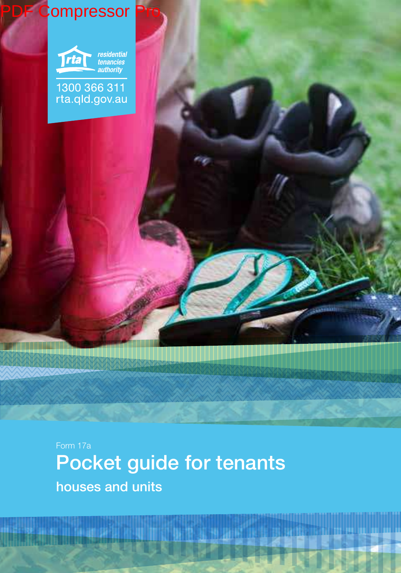

houses and units Pocket guide for tenants Form 17a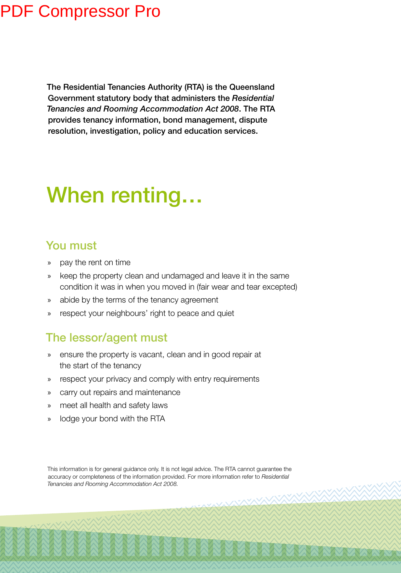The Residential Tenancies Authority (RTA) is the Queensland Government statutory body that administers the *Residential Tenancies and Rooming Accommodation Act 2008*. The RTA provides tenancy information, bond management, dispute resolution, investigation, policy and education services.

# When renting…

## You must

- » pay the rent on time
- » keep the property clean and undamaged and leave it in the same condition it was in when you moved in (fair wear and tear excepted)
- » abide by the terms of the tenancy agreement
- » respect your neighbours' right to peace and quiet

### The lessor/agent must

- » ensure the property is vacant, clean and in good repair at the start of the tenancy
- » respect your privacy and comply with entry requirements
- » carry out repairs and maintenance
- » meet all health and safety laws
- » lodge your bond with the RTA

This information is for general guidance only. It is not legal advice. The RTA cannot guarantee the accuracy or completeness of the information provided. For more information refer to *Residential Tenancies and Rooming Accommodation Act 2008.*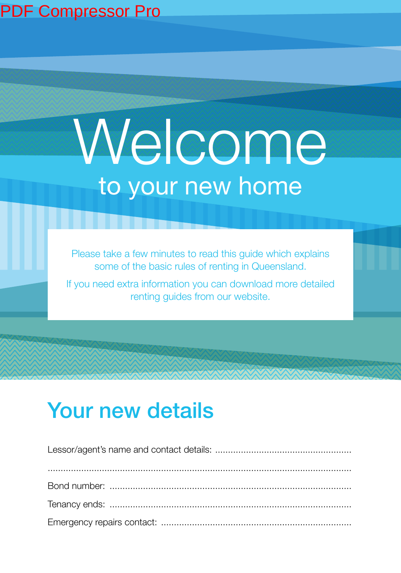# Welcome to your new home

Please take a few minutes to read this guide which explains some of the basic rules of renting in Queensland.

If you need extra information you can download more detailed renting guides from our website.

## Your new details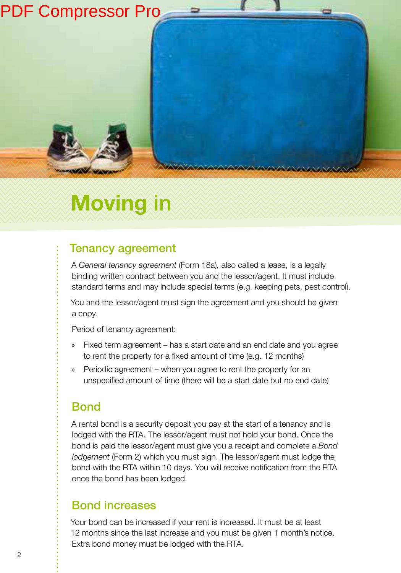

# **Moving** in

## Tenancy agreement

A *General tenancy agreement* (Form 18a)*,* also called a lease, is a legally binding written contract between you and the lessor/agent. It must include standard terms and may include special terms (e.g. keeping pets, pest control).

You and the lessor/agent must sign the agreement and you should be given a copy.

Period of tenancy agreement:

- Fixed term agreement has a start date and an end date and you agree to rent the property for a fixed amount of time (e.g. 12 months)
- Periodic agreement when you agree to rent the property for an unspecified amount of time (there will be a start date but no end date)

## **Bond**

A rental bond is a security deposit you pay at the start of a tenancy and is lodged with the RTA. The lessor/agent must not hold your bond. Once the bond is paid the lessor/agent must give you a receipt and complete a *Bond lodgement* (Form 2) which you must sign. The lessor/agent must lodge the bond with the RTA within 10 days. You will receive notification from the RTA once the bond has been lodged.

### Bond increases

Your bond can be increased if your rent is increased. It must be at least 12 months since the last increase and you must be given 1 month's notice. Extra bond money must be lodged with the RTA.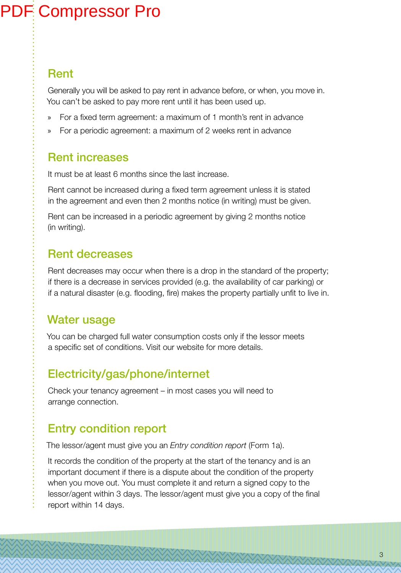## Rent

Generally you will be asked to pay rent in advance before, or when, you move in. You can't be asked to pay more rent until it has been used up.

- » For a ixed term agreement: a maximum of 1 month's rent in advance
- » For a periodic agreement: a maximum of 2 weeks rent in advance

## Rent increases

It must be at least 6 months since the last increase.

Rent cannot be increased during a ixed term agreement unless it is stated in the agreement and even then 2 months notice (in writing) must be given.

Rent can be increased in a periodic agreement by giving 2 months notice (in writing).

## Rent decreases

Rent decreases may occur when there is a drop in the standard of the property; if there is a decrease in services provided (e.g. the availability of car parking) or if a natural disaster (e.g. flooding, fire) makes the property partially unfit to live in.

## Water usage

You can be charged full water consumption costs only if the lessor meets a specific set of conditions. Visit our website for more details.

## Electricity/gas/phone/internet

Check your tenancy agreement – in most cases you will need to arrange connection.

## Entry condition report

The lessor/agent must give you an *Entry condition report* (Form 1a).

It records the condition of the property at the start of the tenancy and is an important document if there is a dispute about the condition of the property when you move out. You must complete it and return a signed copy to the lessor/agent within 3 days. The lessor/agent must give you a copy of the inal report within 14 days.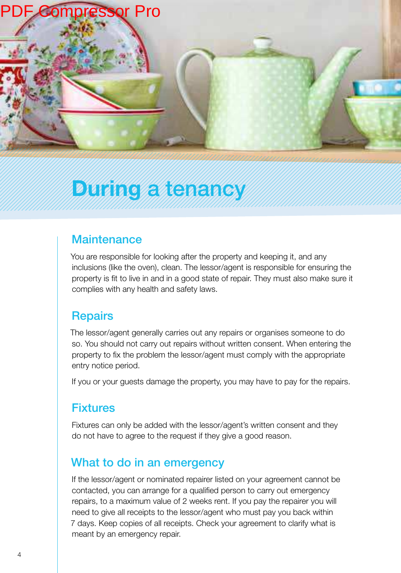

## **During** a tenancy

## **Maintenance**

You are responsible for looking after the property and keeping it, and any inclusions (like the oven), clean. The lessor/agent is responsible for ensuring the property is it to live in and in a good state of repair. They must also make sure it complies with any health and safety laws.

### **Repairs**

The lessor/agent generally carries out any repairs or organises someone to do so. You should not carry out repairs without written consent. When entering the property to ix the problem the lessor/agent must comply with the appropriate entry notice period.

If you or your guests damage the property, you may have to pay for the repairs.

## Fixtures

Fixtures can only be added with the lessor/agent's written consent and they do not have to agree to the request if they give a good reason.

## What to do in an emergency

If the lessor/agent or nominated repairer listed on your agreement cannot be contacted, you can arrange for a qualified person to carry out emergency repairs, to a maximum value of 2 weeks rent. If you pay the repairer you will need to give all receipts to the lessor/agent who must pay you back within 7 days. Keep copies of all receipts. Check your agreement to clarify what is meant by an emergency repair.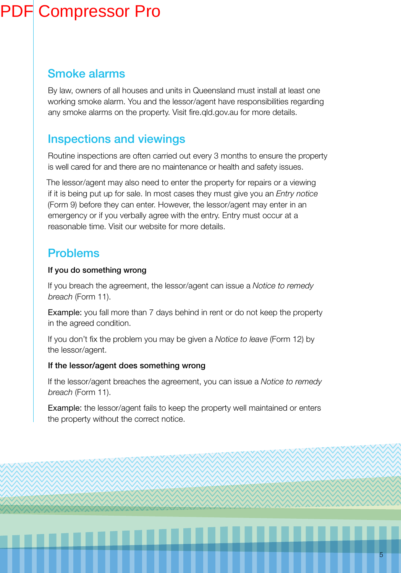## Smoke alarms

By law, owners of all houses and units in Queensland must install at least one working smoke alarm. You and the lessor/agent have responsibilities regarding any smoke alarms on the property. Visit fire.gld.gov.au for more details.

## Inspections and viewings

Routine inspections are often carried out every 3 months to ensure the property is well cared for and there are no maintenance or health and safety issues.

The lessor/agent may also need to enter the property for repairs or a viewing if it is being put up for sale. In most cases they must give you an *Entry notice* (Form 9) before they can enter. However, the lessor/agent may enter in an emergency or if you verbally agree with the entry. Entry must occur at a reasonable time. Visit our website for more details.

## Problems

#### If you do something wrong

If you breach the agreement, the lessor/agent can issue a *Notice to remedy breach* (Form 11).

Example: you fall more than 7 days behind in rent or do not keep the property in the agreed condition.

If you don't ix the problem you may be given a *Notice to leave* (Form 12) by the lessor/agent.

#### If the lessor/agent does something wrong

If the lessor/agent breaches the agreement, you can issue a *Notice to remedy breach* (Form 11).

Example: the lessor/agent fails to keep the property well maintained or enters the property without the correct notice.

.................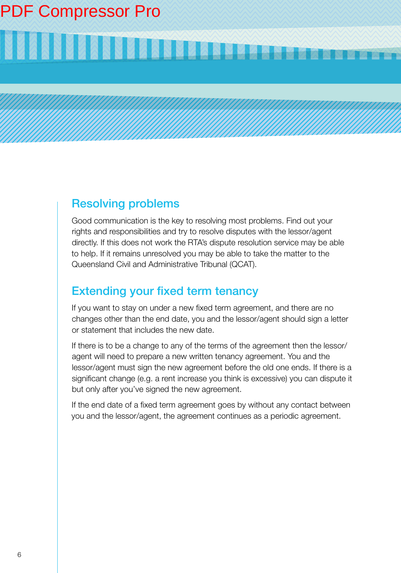# **BELANDER HARRISTER BELLEVILLE DE LA COMMENT DE LA COMMENT DE LA COMMENT DE LA COMMENT DE LA COMMENT DE LA COMM**

## Resolving problems

Good communication is the key to resolving most problems. Find out your rights and responsibilities and try to resolve disputes with the lessor/agent directly. If this does not work the RTA's dispute resolution service may be able to help. If it remains unresolved you may be able to take the matter to the Queensland Civil and Administrative Tribunal (QCAT).

## **Extending your fixed term tenancy**

If you want to stay on under a new ixed term agreement, and there are no changes other than the end date, you and the lessor/agent should sign a letter or statement that includes the new date.

If there is to be a change to any of the terms of the agreement then the lessor/ agent will need to prepare a new written tenancy agreement. You and the lessor/agent must sign the new agreement before the old one ends. If there is a significant change (e.g. a rent increase you think is excessive) you can dispute it but only after you've signed the new agreement.

If the end date of a fixed term agreement goes by without any contact between you and the lessor/agent, the agreement continues as a periodic agreement.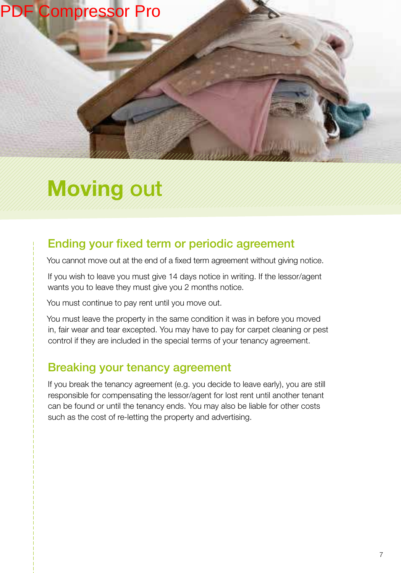

## **Moving** out

## Ending your fixed term or periodic agreement

You cannot move out at the end of a fixed term agreement without giving notice.

If you wish to leave you must give 14 days notice in writing. If the lessor/agent wants you to leave they must give you 2 months notice.

You must continue to pay rent until you move out.

You must leave the property in the same condition it was in before you moved in, fair wear and tear excepted. You may have to pay for carpet cleaning or pest control if they are included in the special terms of your tenancy agreement.

## Breaking your tenancy agreement

If you break the tenancy agreement (e.g. you decide to leave early), you are still responsible for compensating the lessor/agent for lost rent until another tenant can be found or until the tenancy ends. You may also be liable for other costs such as the cost of re-letting the property and advertising.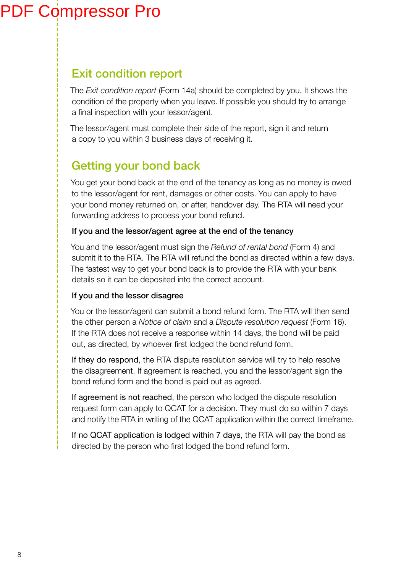## Exit condition report

The *Exit condition report* (Form 14a) should be completed by you. It shows the condition of the property when you leave. If possible you should try to arrange a final inspection with your lessor/agent.

The lessor/agent must complete their side of the report, sign it and return a copy to you within 3 business days of receiving it.

## Getting your bond back

You get your bond back at the end of the tenancy as long as no money is owed to the lessor/agent for rent, damages or other costs. You can apply to have your bond money returned on, or after, handover day. The RTA will need your forwarding address to process your bond refund.

#### If you and the lessor/agent agree at the end of the tenancy

You and the lessor/agent must sign the *Refund of rental bond* (Form 4) and submit it to the RTA. The RTA will refund the bond as directed within a few days. The fastest way to get your bond back is to provide the RTA with your bank details so it can be deposited into the correct account.

#### If you and the lessor disagree

You or the lessor/agent can submit a bond refund form. The RTA will then send the other person a *Notice of claim* and a *Dispute resolution request* (Form 16). If the RTA does not receive a response within 14 days, the bond will be paid out, as directed, by whoever irst lodged the bond refund form.

If they do respond, the RTA dispute resolution service will try to help resolve the disagreement. If agreement is reached, you and the lessor/agent sign the bond refund form and the bond is paid out as agreed.

If agreement is not reached, the person who lodged the dispute resolution request form can apply to QCAT for a decision. They must do so within 7 days and notify the RTA in writing of the QCAT application within the correct timeframe.

If no QCAT application is lodged within 7 days, the RTA will pay the bond as directed by the person who first lodged the bond refund form.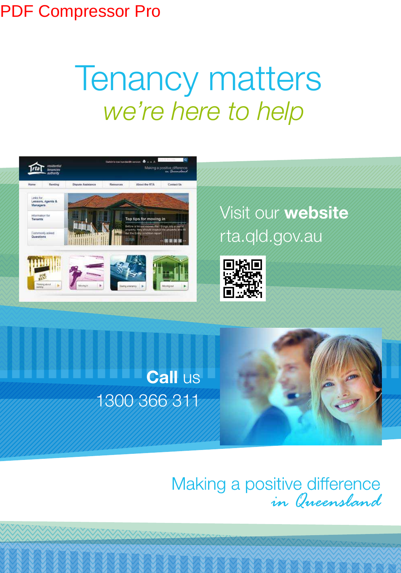# *we're here to help* Tenancy matters



## Visit our **website** rta.qld.gov.au





# Making a positive difference<br>in Queensland